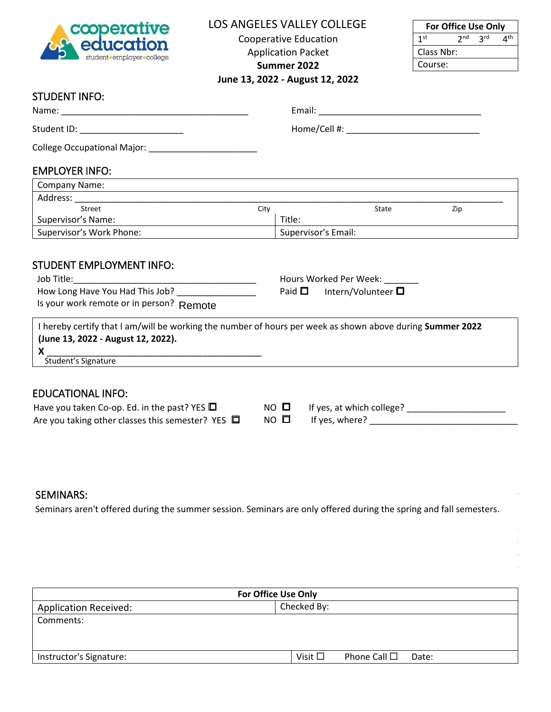

## LOS ANGELES VALLEY COLLEGE

Cooperative Education Application Packet **Summer 2022 June 13, 2022 - August 12, 2022**

| <b>For Office Use Only</b> |                 |                 |     |  |
|----------------------------|-----------------|-----------------|-----|--|
| 1 <sup>st</sup>            | 2 <sup>nd</sup> | 3 <sup>rd</sup> | ⊿th |  |
| Class Nbr:                 |                 |                 |     |  |
| Course:                    |                 |                 |     |  |

# STUDENT INFO:

| Student ID: _______________________                                                                                                                                                                                                                                    |                |        |                                                                           |     |  |  |
|------------------------------------------------------------------------------------------------------------------------------------------------------------------------------------------------------------------------------------------------------------------------|----------------|--------|---------------------------------------------------------------------------|-----|--|--|
| College Occupational Major: National Sollege Occupational Major:                                                                                                                                                                                                       |                |        |                                                                           |     |  |  |
| <b>EMPLOYER INFO:</b>                                                                                                                                                                                                                                                  |                |        |                                                                           |     |  |  |
| Company Name:                                                                                                                                                                                                                                                          |                |        |                                                                           |     |  |  |
|                                                                                                                                                                                                                                                                        |                |        |                                                                           |     |  |  |
| Street                                                                                                                                                                                                                                                                 | City           |        | State                                                                     | Zip |  |  |
| Supervisor's Name:                                                                                                                                                                                                                                                     |                | Title: |                                                                           |     |  |  |
| Supervisor's Work Phone:                                                                                                                                                                                                                                               |                |        | Supervisor's Email:                                                       |     |  |  |
| <b>STUDENT EMPLOYMENT INFO:</b><br>How Long Have You Had This Job?<br>Is your work remote or in person? Remote<br>I hereby certify that I am/will be working the number of hours per week as shown above during Summer 2022<br>(June 13, 2022 - August 12, 2022).<br>X |                |        | Hours Worked Per Week: _____<br>Paid $\square$ Intern/Volunteer $\square$ |     |  |  |
| Student's Signature                                                                                                                                                                                                                                                    |                |        |                                                                           |     |  |  |
| <b>EDUCATIONAL INFO:</b>                                                                                                                                                                                                                                               |                |        |                                                                           |     |  |  |
| Have you taken Co-op. Ed. in the past? YES $\Box$                                                                                                                                                                                                                      | $NO$ $\square$ |        |                                                                           |     |  |  |
| Are you taking other classes this semester? YES $\square$                                                                                                                                                                                                              | $NO$ $\square$ |        |                                                                           |     |  |  |
|                                                                                                                                                                                                                                                                        |                |        |                                                                           |     |  |  |

## SEMINARS:

Seminars aren't offered during the summer session. Seminars are only offered during the spring and fall semesters.

| <b>For Office Use Only</b>   |                 |                      |       |  |
|------------------------------|-----------------|----------------------|-------|--|
| <b>Application Received:</b> | Checked By:     |                      |       |  |
| Comments:                    |                 |                      |       |  |
| Instructor's Signature:      | Visit $\square$ | Phone Call $\square$ | Date: |  |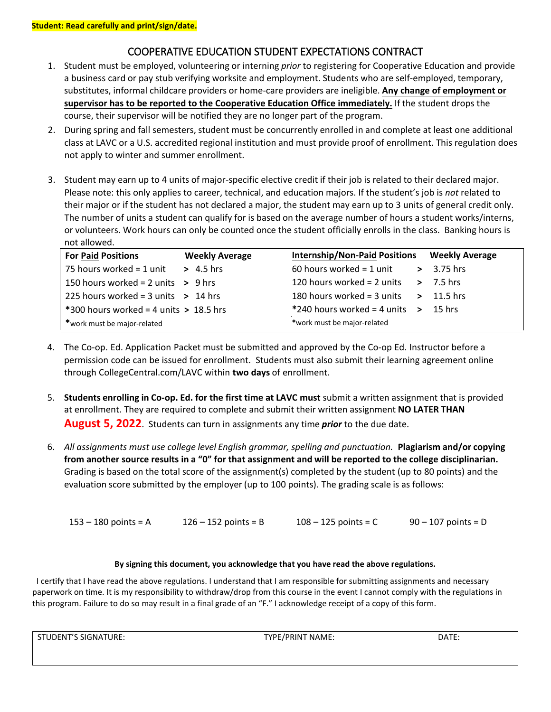### COOPERATIVE EDUCATION STUDENT EXPECTATIONS CONTRACT

- 1. Student must be employed, volunteering or interning *prior* to registering for Cooperative Education and provide a business card or pay stub verifying worksite and employment. Students who are self-employed, temporary, substitutes, informal childcare providers or home-care providers are ineligible. **Any change of employment or supervisor has to be reported to the Cooperative Education Office immediately.** If the student drops the course, their supervisor will be notified they are no longer part of the program.
- 2. During spring and fall semesters, student must be concurrently enrolled in and complete at least one additional class at LAVC or a U.S. accredited regional institution and must provide proof of enrollment. This regulation does not apply to winter and summer enrollment.
- 3. Student may earn up to 4 units of major-specific elective credit if their job is related to their declared major. Please note: this only applies to career, technical, and education majors. If the student's job is *not* related to their major or if the student has not declared a major, the student may earn up to 3 units of general credit only. The number of units a student can qualify for is based on the average number of hours a student works/interns, or volunteers. Work hours can only be counted once the student officially enrolls in the class. Banking hours is not allowed.

| <b>For Paid Positions</b>                 | <b>Weekly Average</b> | <b>Internship/Non-Paid Positions</b>        |        | <b>Weekly Average</b> |
|-------------------------------------------|-----------------------|---------------------------------------------|--------|-----------------------|
| 75 hours worked = $1$ unit > 4.5 hrs      |                       | 60 hours worked = $1$ unit                  |        | $> 3.75$ hrs          |
| 150 hours worked = $2$ units $\gt$ 9 hrs  |                       | 120 hours worked = 2 units                  |        | $> 7.5$ hrs           |
| 225 hours worked = $3$ units $\gt$ 14 hrs |                       | 180 hours worked = 3 units                  | $\geq$ | $11.5$ hrs            |
| $*300$ hours worked = 4 units > 18.5 hrs  |                       | $*240$ hours worked = 4 units $\rightarrow$ |        | - 15 hrs              |
| *work must be major-related               |                       | *work must be major-related                 |        |                       |

- 4. The Co-op. Ed. Application Packet must be submitted and approved by the Co-op Ed. Instructor before a permission code can be issued for enrollment. Students must also submit their learning agreement online through CollegeCentral.com/LAVC within **two days** of enrollment.
- 5. **Students enrolling in Co-op. Ed. for the first time at LAVC must** submit a written assignment that is provided at enrollment. They are required to complete and submit their written assignment **NO LATER THAN August 5, 2022**. Students can turn in assignments any time *prior* to the due date.
- 6. *All assignments must use college level English grammar, spelling and punctuation.* **Plagiarism and/or copying from another source results in a "0" for that assignment and will be reported to the college disciplinarian.** Grading is based on the total score of the assignment(s) completed by the student (up to 80 points) and the evaluation score submitted by the employer (up to 100 points). The grading scale is as follows:

| $153 - 180$ points = A | $126 - 152$ points = B | $108 - 125$ points = C | $90 - 107$ points = D |
|------------------------|------------------------|------------------------|-----------------------|
|------------------------|------------------------|------------------------|-----------------------|

#### **By signing this document, you acknowledge that you have read the above regulations.**

 I certify that I have read the above regulations. I understand that I am responsible for submitting assignments and necessary paperwork on time. It is my responsibility to withdraw/drop from this course in the event I cannot comply with the regulations in this program. Failure to do so may result in a final grade of an "F." I acknowledge receipt of a copy of this form.

STUDENT'S SIGNATURE: THE SIGNATURE: TYPE/PRINT NAME: DATE: